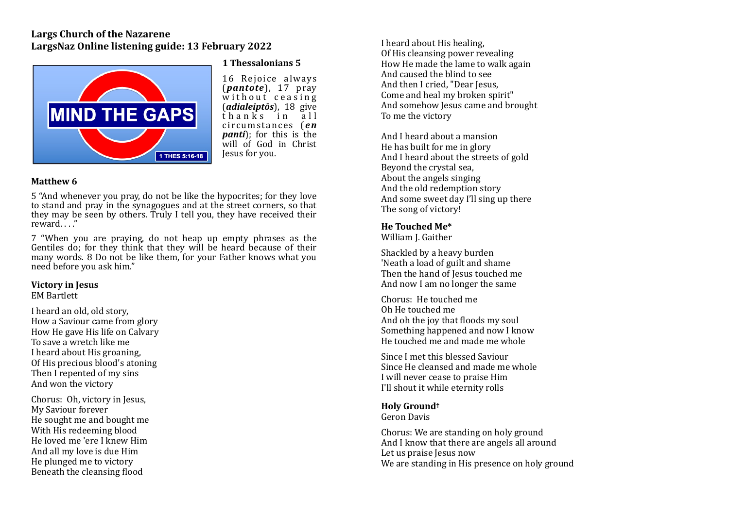# **Largs Church of the Nazarene** LargsNaz Online listening guide: 13 February 2022



### **1 Thessalonians 5**

16 Rejoice always (*pantote*), 17 pray without ceasing (*adialeiptōs*), 18 give thanks in all circum stances (*en*) *panti*); for this is the will of God in Christ Jesus for you.

## **Matthew 6**

5 "And whenever you pray, do not be like the hypocrites: for they love to stand and pray in the synagogues and at the street corners, so that they may be seen by others. Truly I tell you, they have received their reward. . . ."

7 "When you are praying, do not heap up empty phrases as the Gentiles do; for they think that they will be heard because of their many words. 8 Do not be like them, for your Father knows what you need before you ask him."

### **Victory in Jesus**

EM Bartlett 

I heard an old, old story. How a Saviour came from glory How He gave His life on Calvary To save a wretch like me I heard about His groaning. Of His precious blood's atoning Then I repented of my sins And won the victory

Chorus: Oh, victory in Jesus, My Saviour forever He sought me and bought me With His redeeming blood He loved me 'ere I knew Him And all my love is due Him He plunged me to victory Beneath the cleansing flood

I heard about His healing. Of His cleansing power revealing How He made the lame to walk again And caused the blind to see And then I cried, "Dear Jesus, Come and heal my broken spirit" And somehow Jesus came and brought To me the victory

And I heard about a mansion He has built for me in glory And I heard about the streets of gold Beyond the crystal sea, About the angels singing And the old redemption story And some sweet day I'll sing up there The song of victory!

#### $\ddot{\phantom{a}}$ **He Touched Me\***

William I. Gaither

Shackled by a heavy burden 'Neath a load of guilt and shame Then the hand of Jesus touched me And now I am no longer the same

Chorus: He touched me Oh He touched me And oh the joy that floods my soul Something happened and now I know He touched me and made me whole

Since I met this blessed Saviour Since He cleansed and made me whole I will never cease to praise Him I'll shout it while eternity rolls

## **Holy Ground†**

Geron Davis

Chorus: We are standing on holy ground And I know that there are angels all around Let us praise Jesus now We are standing in His presence on holy ground